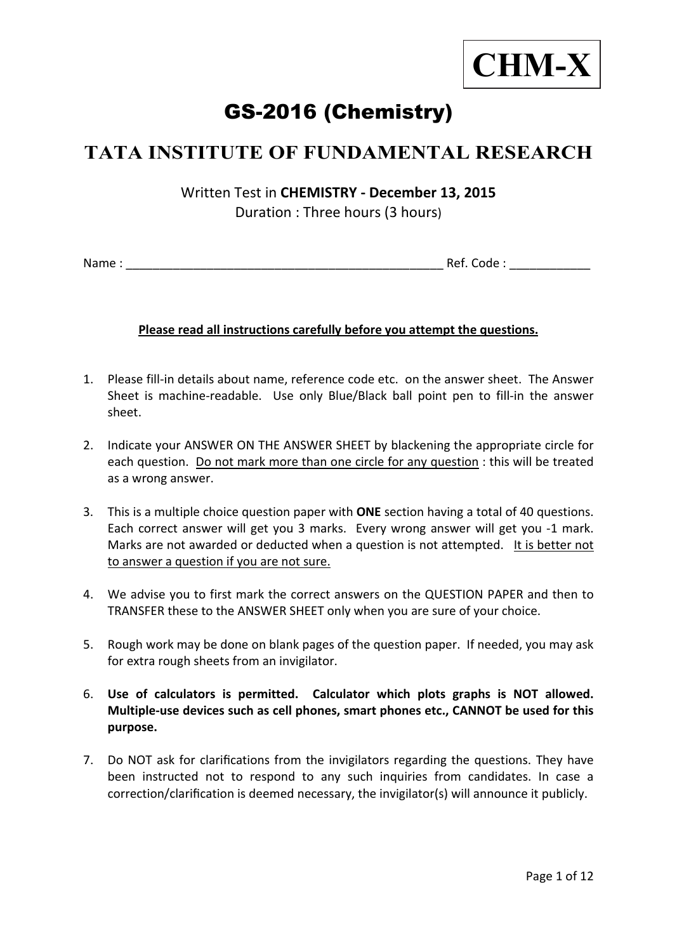

# GS-2016 (Chemistry)

## **TATA INSTITUTE OF FUNDAMENTAL RESEARCH**

Written Test in **CHEMISTRY ‐ December 13, 2015** Duration : Three hours (3 hours)

Name : \_\_\_\_\_\_\_\_\_\_\_\_\_\_\_\_\_\_\_\_\_\_\_\_\_\_\_\_\_\_\_\_\_\_\_\_\_\_\_\_\_\_\_\_\_\_\_ Ref. Code : \_\_\_\_\_\_\_\_\_\_\_\_

### **Please read all instructions carefully before you attempt the questions.**

- 1. Please fill-in details about name, reference code etc. on the answer sheet. The Answer Sheet is machine-readable. Use only Blue/Black ball point pen to fill-in the answer sheet.
- 2. Indicate your ANSWER ON THE ANSWER SHEET by blackening the appropriate circle for each question. Do not mark more than one circle for any question : this will be treated as a wrong answer.
- 3. This is a multiple choice question paper with **ONE** section having a total of 40 questions. Each correct answer will get you 3 marks. Every wrong answer will get you ‐1 mark. Marks are not awarded or deducted when a question is not attempted. It is better not to answer a question if you are not sure.
- 4. We advise you to first mark the correct answers on the QUESTION PAPER and then to TRANSFER these to the ANSWER SHEET only when you are sure of your choice.
- 5. Rough work may be done on blank pages of the question paper. If needed, you may ask for extra rough sheets from an invigilator.
- 6. **Use of calculators is permitted. Calculator which plots graphs is NOT allowed. Multiple‐use devices such as cell phones, smart phones etc., CANNOT be used for this purpose.**
- 7. Do NOT ask for clarifications from the invigilators regarding the questions. They have been instructed not to respond to any such inquiries from candidates. In case a correction/clarification is deemed necessary, the invigilator(s) will announce it publicly.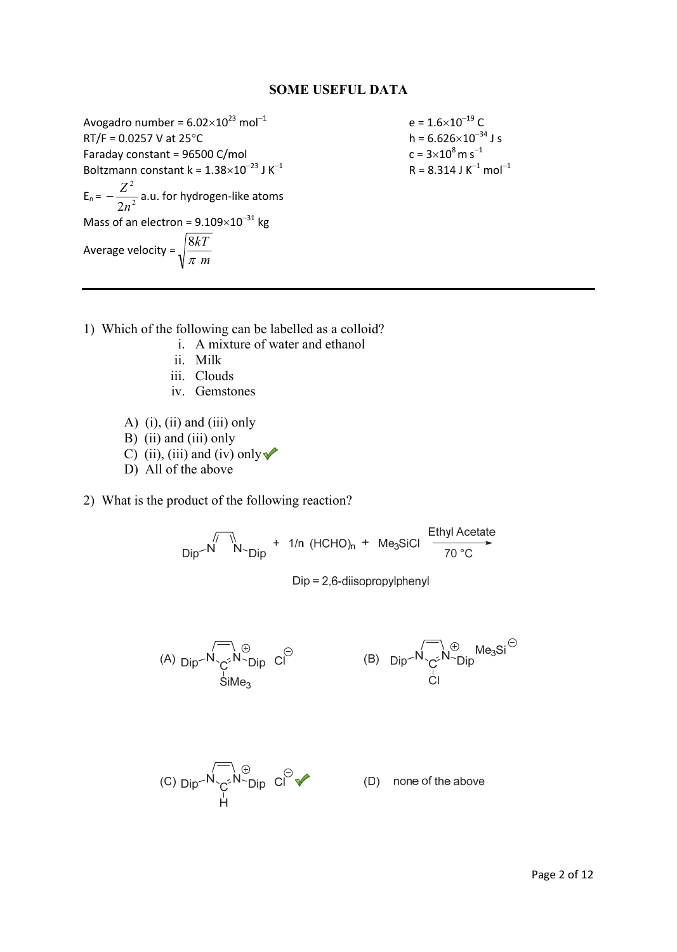#### **SOME USEFUL DATA**

Avogadro number =  $6.02 \times 10^{23}$  mol<sup>-1</sup> e =  $1.6 \times 10^{-19}$  C<br>RT/F = 0.0257 V at 25°C h =  $6.626 \times 10^{-34}$  J s  $RT/F = 0.0257$  V at  $25^{\circ}$ C Faraday constant =  $96500$  C/mol Boltzmann constant k =  $1.38\times10^{-23}$  J K<sup>-1</sup>  $E_n = -\frac{2}{2n^2}$ 2 2*n*  $-\frac{Z^2}{\sqrt{2}}$  a.u. for hydrogen-like atoms Mass of an electron =  $9.109\times10^{-31}$  kg Average velocity =  $\sqrt{\frac{cm}{\pi}}$  *m kT* π 8

 $c = 3 \times 10^8$  m s<sup>-1</sup>  $R = 8.314$  J K<sup>-1</sup> mol<sup>-1</sup>

- 1) Which of the following can be labelled as a colloid?
	- i. A mixture of water and ethanol
	- ii. Milk
	- iii. Clouds
	- iv. Gemstones
	- A) (i), (ii) and (iii) only
	- B) (ii) and (iii) only
	- C) (ii), (iii) and (iv) only  $\blacktriangleright$
	- D) All of the above

2) What is the product of the following reaction?

 $\frac{1}{\text{Dip}}\sqrt{\frac{N}{N}}$   $\rightarrow$   $\frac{1}{\text{Dip}}$  + 1/n (HCHO)<sub>n</sub> + Me<sub>3</sub>SiCl  $\frac{\text{Ethyl Acetate}}{70^{\circ}\text{C}}$ 

 $Dip = 2.6$ -diisopropylphenyl

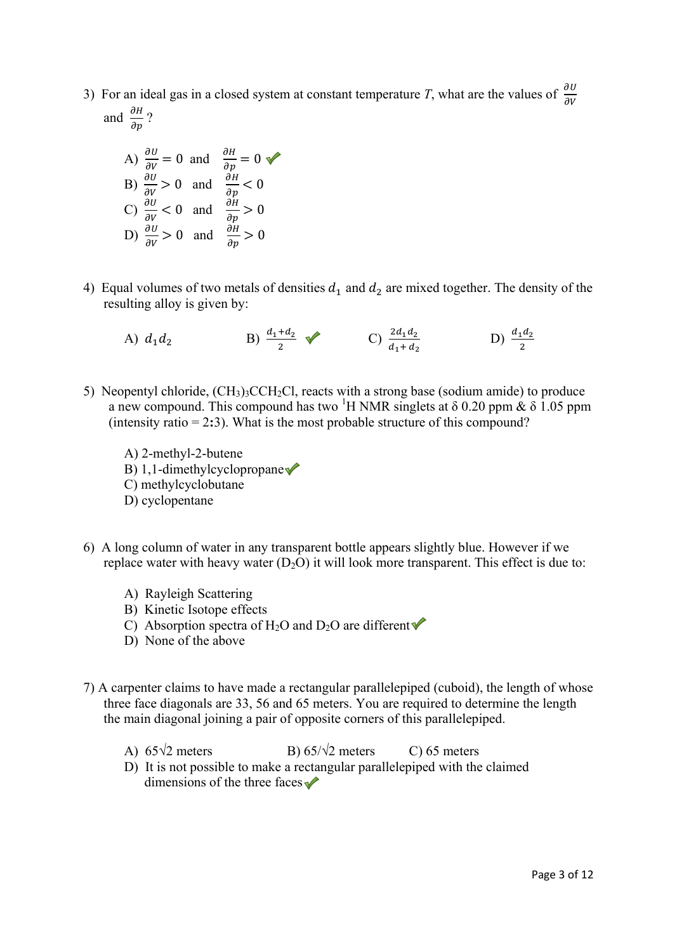3) For an ideal gas in a closed system at constant temperature *T*, what are the values of  $\frac{\partial U}{\partial V}$ and  $\frac{\partial H}{\partial p}$ ?

A) 
$$
\frac{\partial U}{\partial v} = 0
$$
 and  $\frac{\partial H}{\partial p} = 0$    
\nB)  $\frac{\partial U}{\partial v} > 0$  and  $\frac{\partial H}{\partial p} < 0$   
\nC)  $\frac{\partial U}{\partial v} < 0$  and  $\frac{\partial H}{\partial p} > 0$   
\nD)  $\frac{\partial U}{\partial v} > 0$  and  $\frac{\partial H}{\partial p} > 0$ 

4) Equal volumes of two metals of densities  $d_1$  and  $d_2$  are mixed together. The density of the resulting alloy is given by:

A) 
$$
d_1 d_2
$$
 \t\t B)  $\frac{d_1 + d_2}{2}$  \t\t C)  $\frac{2d_1 d_2}{d_1 + d_2}$  \t\t D)  $\frac{d_1 d_2}{2}$ 

- 5) Neopentyl chloride,  $(CH_3)$ <sub>3</sub>CCH<sub>2</sub>Cl, reacts with a strong base (sodium amide) to produce a new compound. This compound has two <sup>1</sup>H NMR singlets at  $\delta$  0.20 ppm  $\& \delta$  1.05 ppm (intensity ratio = 2**:**3). What is the most probable structure of this compound?
	- A) 2-methyl-2-butene B) 1,1-dimethylcyclopropane C) methylcyclobutane D) cyclopentane
- 6) A long column of water in any transparent bottle appears slightly blue. However if we replace water with heavy water  $(D_2O)$  it will look more transparent. This effect is due to:
	- A) Rayleigh Scattering
	- B) Kinetic Isotope effects
	- C) Absorption spectra of H<sub>2</sub>O and D<sub>2</sub>O are different  $\blacklozenge$
	- D) None of the above
- 7) A carpenter claims to have made a rectangular parallelepiped (cuboid), the length of whose three face diagonals are 33, 56 and 65 meters. You are required to determine the length the main diagonal joining a pair of opposite corners of this parallelepiped.
	- A)  $65\sqrt{2}$  meters B)  $65/\sqrt{2}$  meters C) 65 meters
	- D) It is not possible to make a rectangular parallelepiped with the claimed dimensions of the three faces  $\sqrt{\phantom{a}}$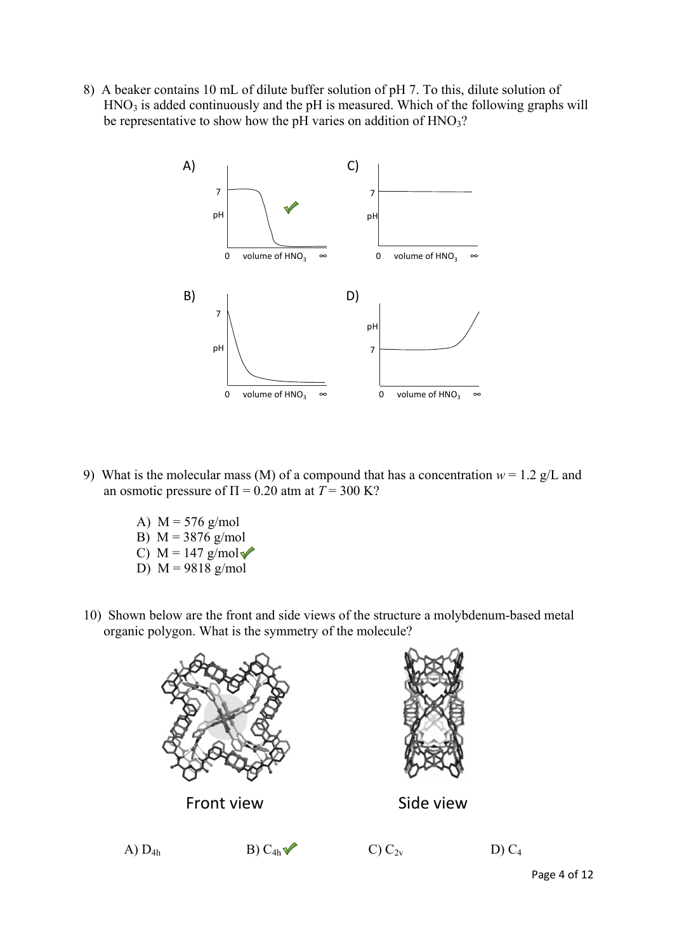8) A beaker contains 10 mL of dilute buffer solution of pH 7. To this, dilute solution of  $HNO<sub>3</sub>$  is added continuously and the pH is measured. Which of the following graphs will be representative to show how the pH varies on addition of  $HNO<sub>3</sub>$ ?



- 9) What is the molecular mass (M) of a compound that has a concentration  $w = 1.2$  g/L and an osmotic pressure of  $\Pi = 0.20$  atm at  $T = 300$  K?
	- A)  $M = 576$  g/mol
	- B)  $M = 3876$  g/mol
	- C)  $M = 147$  g/mol $\sqrt{\ }$
	- D)  $M = 9818$  g/mol
- 10) Shown below are the front and side views of the structure a molybdenum-based metal organic polygon. What is the symmetry of the molecule?







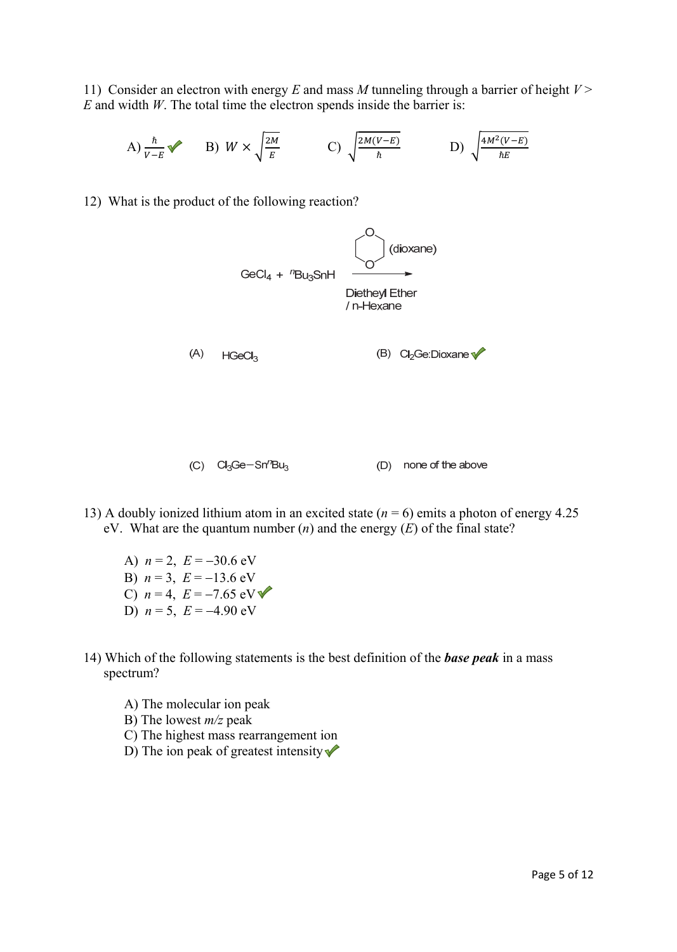11) Consider an electron with energy *E* and mass *M* tunneling through a barrier of height *V* > *E* and width *W*. The total time the electron spends inside the barrier is:

A)  $\frac{\hbar}{v - E}$  B)  $W \times \sqrt{\frac{2M}{E}}$  C)  $\sqrt{\frac{2M(V - E)}{\hbar}}$  D)  $\sqrt{\frac{4M^2(V - E)}{\hbar E}}$ 

12) What is the product of the following reaction?



- 13) A doubly ionized lithium atom in an excited state (*n* = 6) emits a photon of energy 4.25 eV. What are the quantum number (*n*) and the energy (*E*) of the final state?
	- A)  $n = 2$ ,  $E = -30.6$  eV B)  $n = 3$ ,  $E = -13.6$  eV C)  $n = 4$ ,  $E = -7.65$  eV D)  $n = 5$ ,  $E = -4.90$  eV
- 14) Which of the following statements is the best definition of the *base peak* in a mass spectrum?
	- A) The molecular ion peak
	- B) The lowest *m/z* peak
	- C) The highest mass rearrangement ion
	- D) The ion peak of greatest intensity  $\blacklozenge$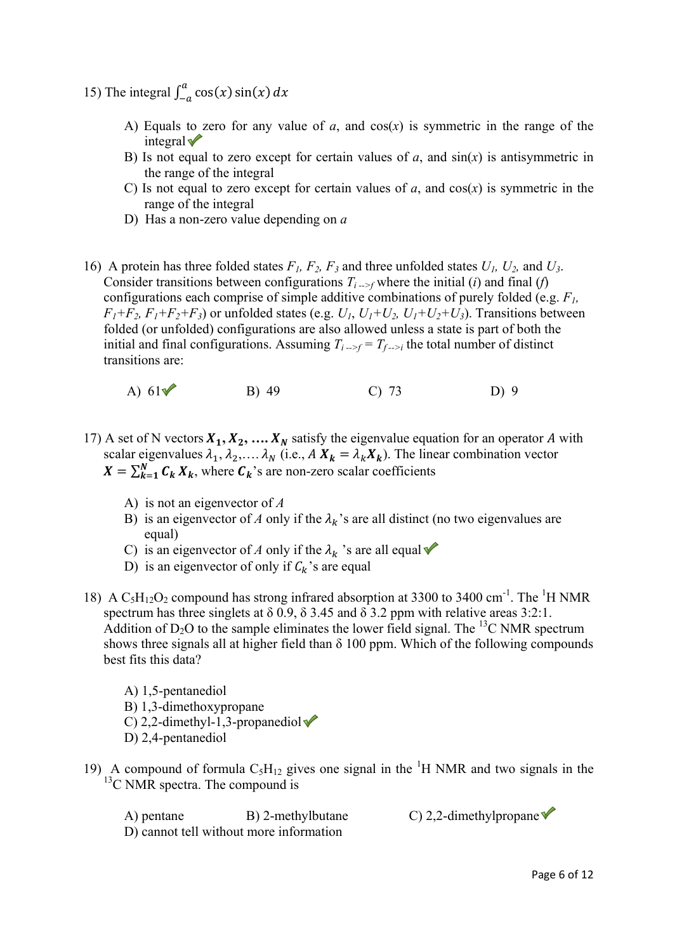- 15) The integral  $\int_{-a}^{a} \cos(x) \sin(x) dx$ 
	- A) Equals to zero for any value of  $a$ , and  $cos(x)$  is symmetric in the range of the integral $\blacktriangledown$
	- B) Is not equal to zero except for certain values of  $a$ , and  $sin(x)$  is antisymmetric in the range of the integral
	- C) Is not equal to zero except for certain values of  $a$ , and  $cos(x)$  is symmetric in the range of the integral
	- D) Has a non-zero value depending on *a*
- 16) A protein has three folded states *F1, F2, F3* and three unfolded states *U1, U2,* and *U3*. Consider transitions between configurations  $T_{i\rightarrow f}$  where the initial (*i*) and final (*f*) configurations each comprise of simple additive combinations of purely folded (e.g. *F1,*   $F_1 + F_2$ ,  $F_1 + F_2 + F_3$ ) or unfolded states (e.g.  $U_1$ ,  $U_1 + U_2$ ,  $U_1 + U_2 + U_3$ ). Transitions between folded (or unfolded) configurations are also allowed unless a state is part of both the initial and final configurations. Assuming  $T_{i\rightarrow f} = T_{f\rightarrow i}$  the total number of distinct transitions are:
	- A)  $61\sqrt{ }$  B) 49 C) 73 D) 9
- 17) A set of N vectors  $X_1, X_2, \ldots, X_N$  satisfy the eigenvalue equation for an operator A with scalar eigenvalues  $\lambda_1, \lambda_2, \ldots, \lambda_N$  (i.e.,  $A X_k = \lambda_k X_k$ ). The linear combination vector  $X = \sum_{k=1}^{N} C_k X_k$ , where  $C_k$ 's are non-zero scalar coefficients
	- A) is not an eigenvector of *A*
	- B) is an eigenvector of *A* only if the  $\lambda_k$ 's are all distinct (no two eigenvalues are equal)
	- C) is an eigenvector of *A* only if the  $\lambda_k$  's are all equal  $\blacklozenge$
	- D) is an eigenvector of only if  $C_k$ 's are equal
- 18) A  $C_5H_{12}O_2$  compound has strong infrared absorption at 3300 to 3400 cm<sup>-1</sup>. The <sup>1</sup>H NMR spectrum has three singlets at  $\delta$  0.9,  $\delta$  3.45 and  $\delta$  3.2 ppm with relative areas 3:2:1. Addition of  $D_2O$  to the sample eliminates the lower field signal. The <sup>13</sup>C NMR spectrum shows three signals all at higher field than  $\delta$  100 ppm. Which of the following compounds best fits this data?
	- A) 1,5-pentanediol B) 1,3-dimethoxypropane C) 2,2-dimethyl-1,3-propanediol $\blacktriangledown$ D) 2,4-pentanediol
- 19) A compound of formula  $C_5H_{12}$  gives one signal in the <sup>1</sup>H NMR and two signals in the  $13^{\circ}$ C NMR spectra. The compound is

A) pentane B) 2-methylbutane C) 2,2-dimethylpropane D) cannot tell without more information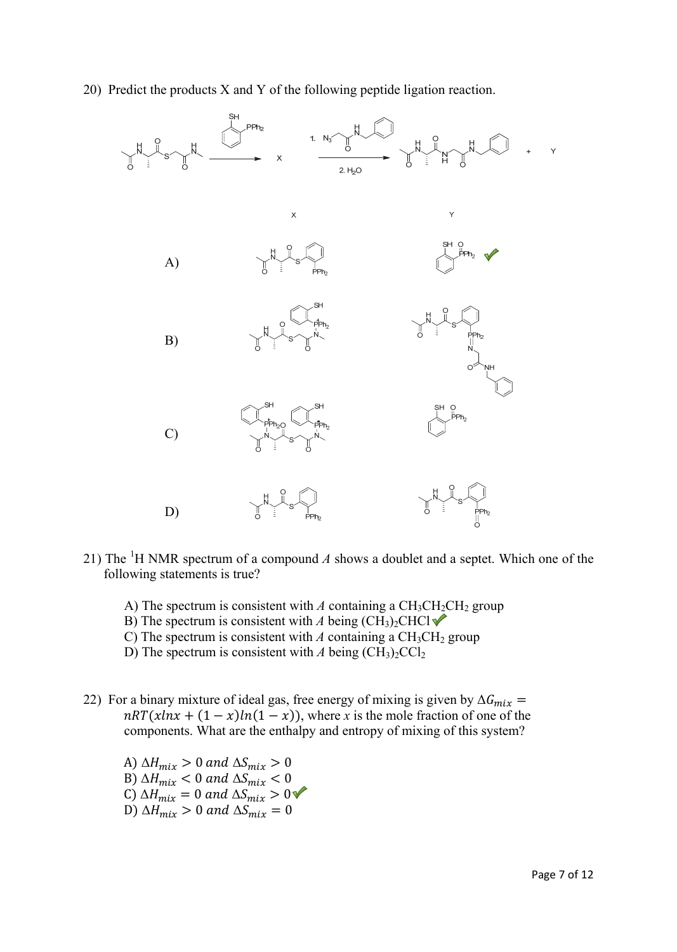20) Predict the products X and Y of the following peptide ligation reaction.



- 21) The <sup>1</sup>H NMR spectrum of a compound  $A$  shows a doublet and a septet. Which one of the following statements is true?
	- A) The spectrum is consistent with  $A$  containing a  $CH_3CH_2CH_2$  group
	- B) The spectrum is consistent with *A* being  $(CH_3)_2CHCl \blacklozenge$
	- C) The spectrum is consistent with  $A$  containing a  $CH<sub>3</sub>CH<sub>2</sub>$  group
	- D) The spectrum is consistent with *A* being  $(CH_3)_2CCl_2$
- 22) For a binary mixture of ideal gas, free energy of mixing is given by  $\Delta G_{mix}$  =  $nRT(xlnx + (1 - x)ln(1 - x))$ , where *x* is the mole fraction of one of the components. What are the enthalpy and entropy of mixing of this system?
	- A)  $\Delta H_{mix} > 0$  and  $\Delta S_{mix} > 0$ B)  $\Delta H_{mix} < 0$  and  $\Delta S_{mix} < 0$ C)  $\Delta H_{mix} = 0$  and  $\Delta S_{mix} > 0$ D)  $\Delta H_{mix} > 0$  and  $\Delta S_{mix} = 0$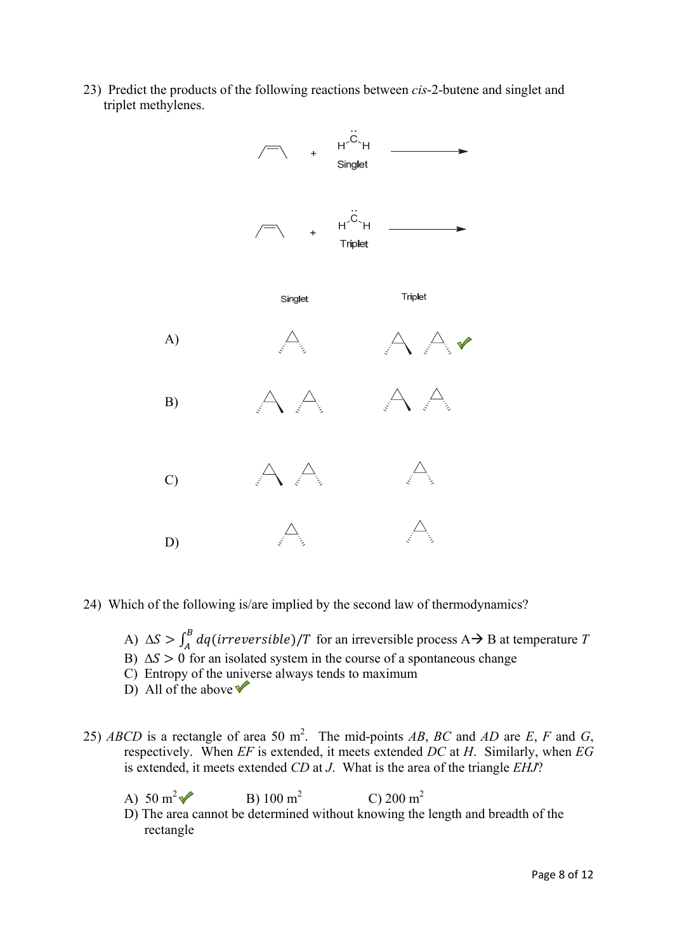23) Predict the products of the following reactions between *cis*-2-butene and singlet and triplet methylenes.



- 24) Which of the following is/are implied by the second law of thermodynamics?
	- A)  $\Delta S > \int_A^B dq (irreversible)/T$  for an irreversible process A  $\rightarrow$  B at temperature *T*
	- B)  $\Delta S > 0$  for an isolated system in the course of a spontaneous change
	- C) Entropy of the universe always tends to maximum
	- D) All of the above  $\sqrt{\ }$
- 25) *ABCD* is a rectangle of area 50 m<sup>2</sup>. The mid-points *AB*, *BC* and *AD* are *E*, *F* and *G*, respectively. When *EF* is extended, it meets extended *DC* at *H*. Similarly, when *EG* is extended, it meets extended *CD* at *J*. What is the area of the triangle *EHJ*?
	- A)  $50 \text{ m}^2$ B)  $100 \text{ m}^2$ C) 200 m<sup>2</sup>
	- D) The area cannot be determined without knowing the length and breadth of the rectangle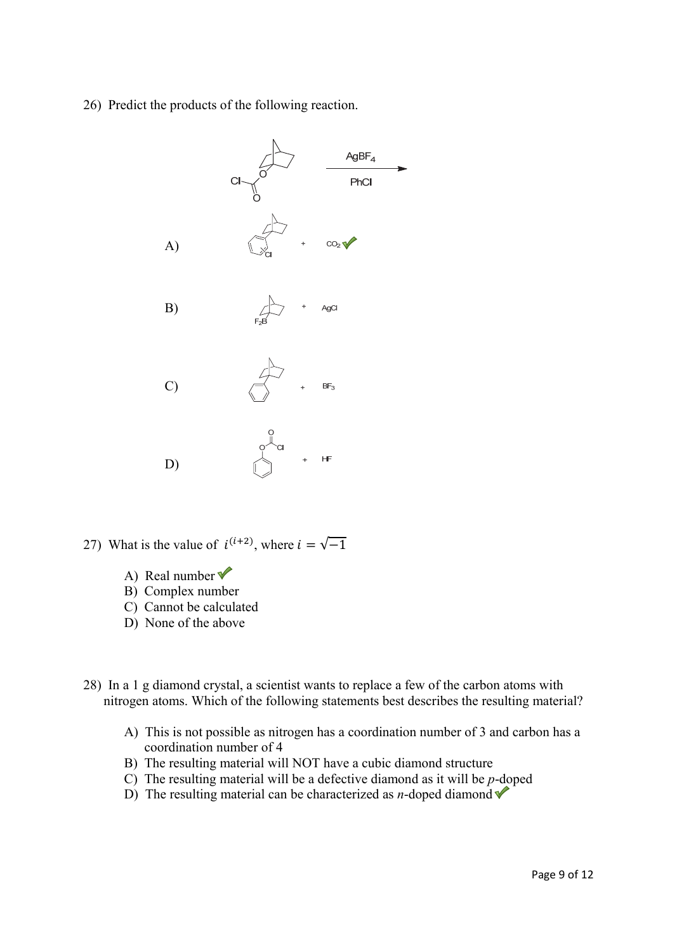26) Predict the products of the following reaction.



27) What is the value of  $i^{(i+2)}$ , where  $i = \sqrt{-1}$ 

- A) Real number  $\checkmark$
- B) Complex number
- C) Cannot be calculated
- D) None of the above
- 28) In a 1 g diamond crystal, a scientist wants to replace a few of the carbon atoms with nitrogen atoms. Which of the following statements best describes the resulting material?
	- A) This is not possible as nitrogen has a coordination number of 3 and carbon has a coordination number of 4
	- B) The resulting material will NOT have a cubic diamond structure
	- C) The resulting material will be a defective diamond as it will be *p*-doped
	- D) The resulting material can be characterized as *n*-doped diamond  $\blacktriangledown$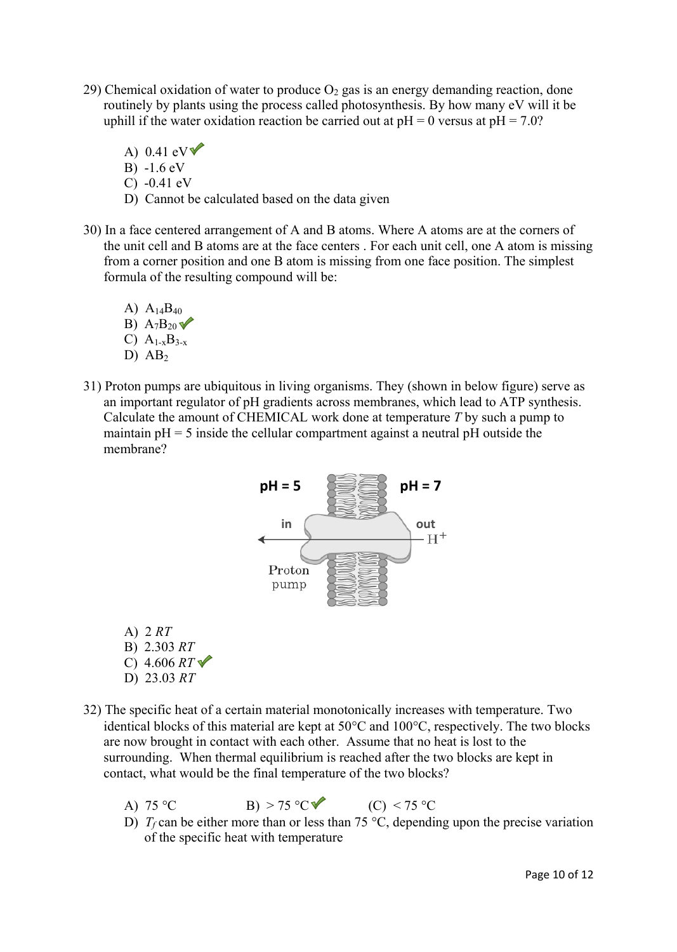- 29) Chemical oxidation of water to produce  $O_2$  gas is an energy demanding reaction, done routinely by plants using the process called photosynthesis. By how many eV will it be uphill if the water oxidation reaction be carried out at  $pH = 0$  versus at  $pH = 7.0$ ?
	- A) 0.41 eV $\blacktriangledown$  B) -1.6 eV C) -0.41 eV
	- D) Cannot be calculated based on the data given
- 30) In a face centered arrangement of A and B atoms. Where A atoms are at the corners of the unit cell and B atoms are at the face centers . For each unit cell, one A atom is missing from a corner position and one B atom is missing from one face position. The simplest formula of the resulting compound will be:
	- A)  $A_{14}B_{40}$ B)  $A_7B_{20}$ C)  $A_{1-x}B_{3-x}$ D)  $AB<sub>2</sub>$
- 31) Proton pumps are ubiquitous in living organisms. They (shown in below figure) serve as an important regulator of pH gradients across membranes, which lead to ATP synthesis. Calculate the amount of CHEMICAL work done at temperature *T* by such a pump to maintain  $pH = 5$  inside the cellular compartment against a neutral  $pH$  outside the membrane?



- A) 2 *RT* B) 2.303 *RT* C) 4.606 *RT* D) 23.03 *RT*
- 32) The specific heat of a certain material monotonically increases with temperature. Two identical blocks of this material are kept at  $50^{\circ}$ C and  $100^{\circ}$ C, respectively. The two blocks are now brought in contact with each other. Assume that no heat is lost to the surrounding. When thermal equilibrium is reached after the two blocks are kept in contact, what would be the final temperature of the two blocks?
	- A)  $75^{\circ}$ C B)  $> 75^{\circ}$ C (C)  $< 75^{\circ}$ C
	- D)  $T_f$  can be either more than or less than 75 °C, depending upon the precise variation of the specific heat with temperature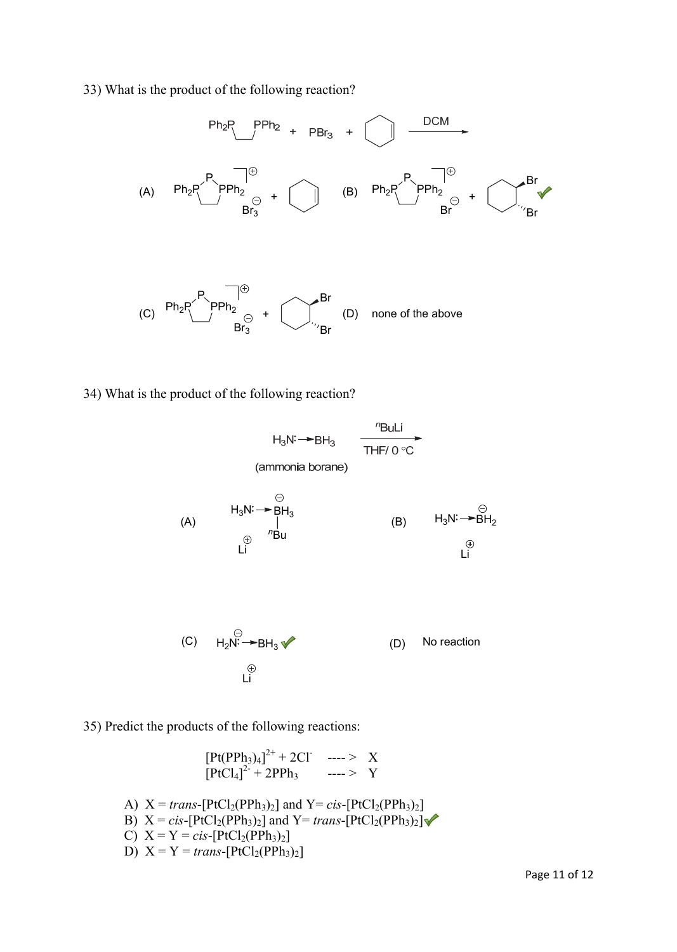33) What is the product of the following reaction?



34) What is the product of the following reaction?

$$
H_{3}N \rightarrow BH_{3} \qquad \frac{P}{THF/O \circ C}
$$
\n(ammonia borane)

\n
$$
H_{3}N \rightarrow BH_{3}
$$
\n(A)

\n
$$
\begin{array}{ccc}\n\oplus & H_{3}N \rightarrow BH_{3} \\
\oplus & {}^{n}Bu \\
\oplus & {}^{n}Bu\n\end{array}
$$
\n(B)

\n
$$
H_{3}N \rightarrow BH_{2}
$$
\n
$$
\begin{array}{ccc}\n\oplus & \oplus \\
\oplus & L_{1} & \oplus \\
\oplus & L_{1} & \oplus\n\end{array}
$$
\n(C)

\n
$$
H_{2}N \rightarrow BH_{3} \rightarrow \qquad \qquad (D)
$$
\nNo reaction

\n
$$
\oplus
$$
\n
$$
L_{1}^{1}
$$

35) Predict the products of the following reactions:

$$
[Pt(PPh3)4]2+ + 2Cl' \n--- > X
$$
  
\n
$$
[PtCl4]2+ + 2PPh3 \n--- > Y
$$
  
\nA) X = *trans*-[PtCl<sub>2</sub>(PPh<sub>3</sub>)<sub>2</sub>] and Y= *cis*-[PtCl<sub>2</sub>(PPh<sub>3</sub>)<sub>2</sub>]  
\nB) X = *cis*-[PtCl<sub>2</sub>(PPh<sub>3</sub>)<sub>2</sub>] and Y= *trans*-[PtCl<sub>2</sub>(PPh<sub>3</sub>)<sub>2</sub>]  
\nC) X = Y = *cis*-[PtCl<sub>2</sub>(PPh<sub>3</sub>)<sub>2</sub>]  
\nD) X = Y = *trans*-[PtCl<sub>2</sub>(PPh<sub>3</sub>)<sub>2</sub>]